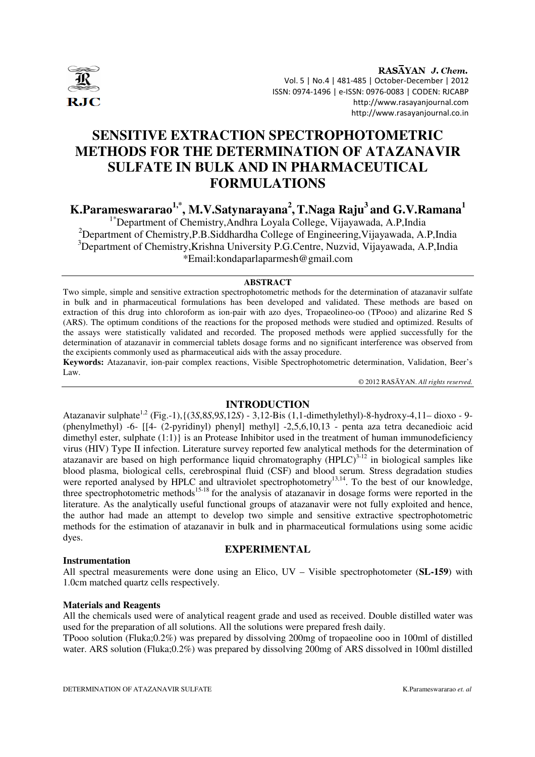

RASAYAN J. Chem. Vol. 5 | No.4 | 481-485 | October-December | 2012 ISSN: 0974-1496 | e-ISSN: 0976-0083 | CODEN: RJCABP http://www.rasayanjournal.com http://www.rasayanjournal.co.in

# **SENSITIVE EXTRACTION SPECTROPHOTOMETRIC METHODS FOR THE DETERMINATION OF ATAZANAVIR SULFATE IN BULK AND IN PHARMACEUTICAL FORMULATIONS**

**K.Parameswararao1,\*, M.V.Satynarayana<sup>2</sup> ,T.Naga Raju<sup>3</sup>and G.V.Ramana<sup>1</sup>**

1\*Department of Chemistry,Andhra Loyala College, Vijayawada, A.P,India <sup>2</sup>Department of Chemistry, P.B. Siddhardha College of Engineering, Vijayawada, A.P. India <sup>3</sup>Department of Chemistry, Krishna University P.G.Centre, Nuzvid, Vijayawada, A.P.India \*Email:kondaparlaparmesh@gmail.com

#### **ABSTRACT**

Two simple, simple and sensitive extraction spectrophotometric methods for the determination of atazanavir sulfate in bulk and in pharmaceutical formulations has been developed and validated. These methods are based on extraction of this drug into chloroform as ion-pair with azo dyes, Tropaeolineo-oo (TPooo) and alizarine Red S (ARS). The optimum conditions of the reactions for the proposed methods were studied and optimized. Results of the assays were statistically validated and recorded. The proposed methods were applied successfully for the determination of atazanavir in commercial tablets dosage forms and no significant interference was observed from the excipients commonly used as pharmaceutical aids with the assay procedure.

**Keywords:** Atazanavir, ion-pair complex reactions, Visible Spectrophotometric determination, Validation, Beer's Law.

© 2012 RASĀYAN. *All rights reserved.*

# **INTRODUCTION**

Atazanavir sulphate1,2 (Fig.-1),{(3*S*,8*S*,9*S*,12*S*) - 3,12-Bis (1,1-dimethylethyl)-8-hydroxy-4,11– dioxo - 9- (phenylmethyl) -6- [[4- (2-pyridinyl) phenyl] methyl] -2,5,6,10,13 - penta aza tetra decanedioic acid dimethyl ester, sulphate  $(1:1)$  is an Protease Inhibitor used in the treatment of human immunodeficiency virus (HIV) Type II infection. Literature survey reported few analytical methods for the determination of atazanavir are based on high performance liquid chromatography  $(HPLC)^{3-12}$  in biological samples like blood plasma, biological cells, cerebrospinal fluid (CSF) and blood serum. Stress degradation studies were reported analysed by HPLC and ultraviolet spectrophotometry<sup>13,14</sup>. To the best of our knowledge, three spectrophotometric methods<sup>15-18</sup> for the analysis of atazanavir in dosage forms were reported in the literature. As the analytically useful functional groups of atazanavir were not fully exploited and hence, the author had made an attempt to develop two simple and sensitive extractive spectrophotometric methods for the estimation of atazanavir in bulk and in pharmaceutical formulations using some acidic dyes.

#### **Instrumentation**

#### **EXPERIMENTAL**

All spectral measurements were done using an Elico, UV – Visible spectrophotometer (**SL-159**) with 1.0cm matched quartz cells respectively.

#### **Materials and Reagents**

All the chemicals used were of analytical reagent grade and used as received. Double distilled water was used for the preparation of all solutions. All the solutions were prepared fresh daily.

TPooo solution (Fluka;0.2%) was prepared by dissolving 200mg of tropaeoline ooo in 100ml of distilled water. ARS solution (Fluka;0.2%) was prepared by dissolving 200mg of ARS dissolved in 100ml distilled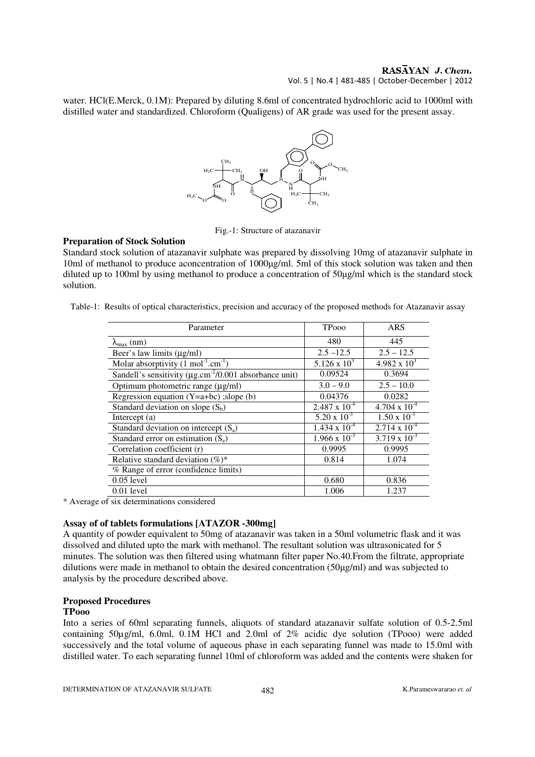#### RASAYAN J. Chem. Vol. 5 | No.4 | 481-485 | October-December | 2012

water. HCl(E.Merck, 0.1M): Prepared by diluting 8.6ml of concentrated hydrochloric acid to 1000ml with distilled water and standardized. Chloroform (Qualigens) of AR grade was used for the present assay.



Fig.-1: Structure of atazanavir

#### **Preparation of Stock Solution**

Standard stock solution of atazanavir sulphate was prepared by dissolving 10mg of atazanavir sulphate in 10ml of methanol to produce aconcentration of 1000µg/ml. 5ml of this stock solution was taken and then diluted up to 100ml by using methanol to produce a concentration of 50µg/ml which is the standard stock solution.

Table-1: Results of optical characteristics, precision and accuracy of the proposed methods for Atazanavir assay

| Parameter                                                                | <b>TPooo</b>           | ARS                    |  |
|--------------------------------------------------------------------------|------------------------|------------------------|--|
| $\lambda_{\text{max}}$ (nm)                                              | 480                    | 445                    |  |
| Beer's law limits (µg/ml)                                                | $2.5 - 12.5$           | $2.5 - 12.5$           |  |
| Molar absorptivity $(1 \text{ mol}^{-1} \text{ cm}^{-1})$                | $5.126 \times 10^3$    | $4.982 \times 10^3$    |  |
| Sandell's sensitivity ( $\mu$ g.cm <sup>-2</sup> /0.001 absorbance unit) | 0.09524                | 0.3694                 |  |
| Optimum photometric range (µg/ml)                                        | $3.0 - 9.0$            | $2.5 - 10.0$           |  |
| Regression equation $(Y=a+bc)$ ; slope (b)                               | 0.04376                | 0.0282                 |  |
| Standard deviation on slope $(S_b)$                                      | $2.487 \times 10^{-4}$ | $4.704 \times 10^{-4}$ |  |
| Intercept $(a)$                                                          | $5.20 \times 10^{-3}$  | $1.50 \times 10^{-3}$  |  |
| Standard deviation on intercept $(S_a)$                                  | $1.434 \times 10^{-4}$ | $2.714 \times 10^{-4}$ |  |
| Standard error on estimation $(S_e)$                                     | $1.966 \times 10^{-3}$ | $3.719 \times 10^{-3}$ |  |
| Correlation coefficient (r)                                              | 0.9995                 | 0.9995                 |  |
| Relative standard deviation $(\%)^*$                                     | 0.814                  | 1.074                  |  |
| % Range of error (confidence limits)                                     |                        |                        |  |
| $0.05$ level                                                             | 0.680                  | 0.836                  |  |
| $0.01$ level                                                             | 1.006                  | 1.237                  |  |

\* Average of six determinations considered

# **Assay of of tablets formulations [ATAZOR -300mg]**

A quantity of powder equivalent to 50mg of atazanavir was taken in a 50ml volumetric flask and it was dissolved and diluted upto the mark with methanol. The resultant solution was ultrasonicated for 5 minutes. The solution was then filtered using whatmann filter paper No.40.From the filtrate, appropriate dilutions were made in methanol to obtain the desired concentration (50µg/ml) and was subjected to analysis by the procedure described above.

# **Proposed Procedures**

# **TPooo**

Into a series of 60ml separating funnels, aliquots of standard atazanavir sulfate solution of 0.5-2.5ml containing 50µg/ml, 6.0ml, 0.1M HCl and 2.0ml of 2% acidic dye solution (TPooo) were added successively and the total volume of aqueous phase in each separating funnel was made to 15.0ml with distilled water. To each separating funnel 10ml of chloroform was added and the contents were shaken for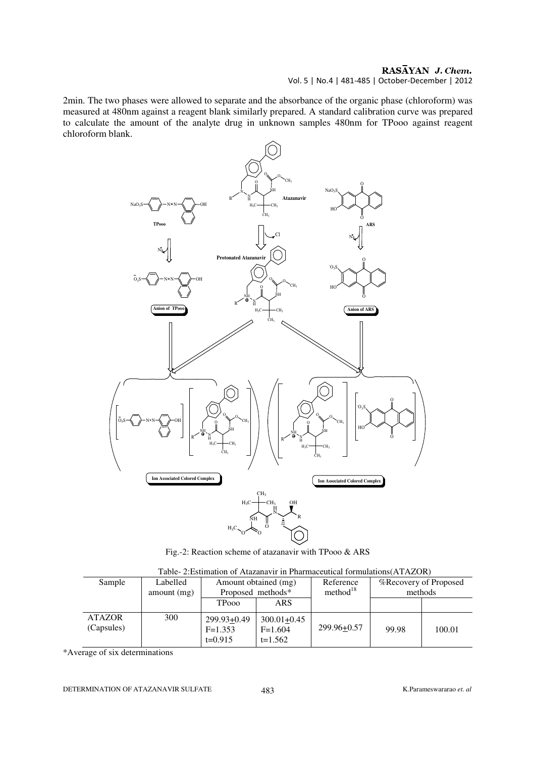# Vol. 5 | No.4 | 481-485 | October-December | 2012

2min. The two phases were allowed to separate and the absorbance of the organic phase (chloroform) was measured at 480nm against a reagent blank similarly prepared. A standard calibration curve was prepared to calculate the amount of the analyte drug in unknown samples 480nm for TPooo against reagent chloroform blank.



Fig.-2: Reaction scheme of atazanavir with TPooo & ARS

| Sample                      | Labelled<br>amount $(mg)$ | Amount obtained (mg)<br>Proposed methods* |                                           | Reference<br>method <sup>18</sup> | <b>%Recovery of Proposed</b><br>methods |        |  |  |
|-----------------------------|---------------------------|-------------------------------------------|-------------------------------------------|-----------------------------------|-----------------------------------------|--------|--|--|
|                             |                           | <b>TPooo</b>                              | ARS                                       |                                   |                                         |        |  |  |
| <b>ATAZOR</b><br>(Capsules) | 300                       | 299.93+0.49<br>$F=1.353$<br>$t=0.915$     | $300.01 + 0.45$<br>$F=1.604$<br>$t=1.562$ | 299.96+0.57                       | 99.98                                   | 100.01 |  |  |

Table- 2:Estimation of Atazanavir in Pharmaceutical formulations(ATAZOR)

\*Average of six determinations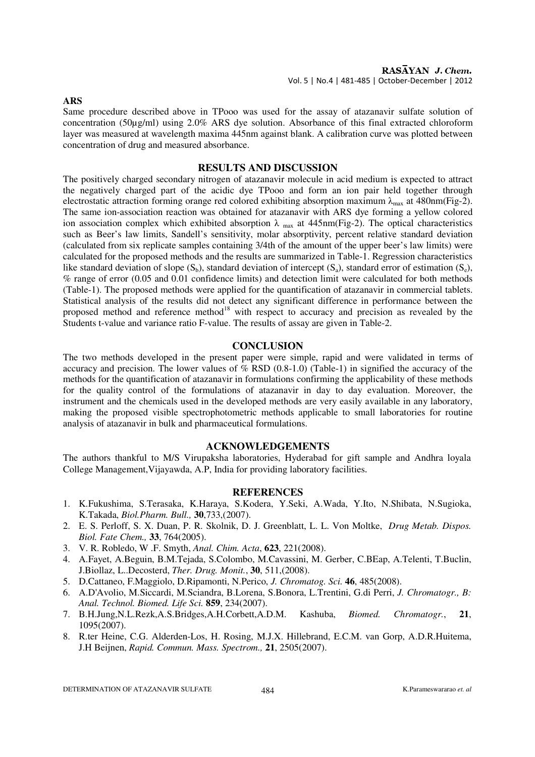**ARS** 

Same procedure described above in TPooo was used for the assay of atazanavir sulfate solution of concentration (50µg/ml) using 2.0% ARS dye solution. Absorbance of this final extracted chloroform layer was measured at wavelength maxima 445nm against blank. A calibration curve was plotted between concentration of drug and measured absorbance.

# **RESULTS AND DISCUSSION**

The positively charged secondary nitrogen of atazanavir molecule in acid medium is expected to attract the negatively charged part of the acidic dye TPooo and form an ion pair held together through electrostatic attraction forming orange red colored exhibiting absorption maximum  $\lambda_{\text{max}}$  at 480nm(Fig-2). The same ion-association reaction was obtained for atazanavir with ARS dye forming a yellow colored ion association complex which exhibited absorption  $\lambda$  <sub>max</sub> at 445nm(Fig-2). The optical characteristics such as Beer's law limits, Sandell's sensitivity, molar absorptivity, percent relative standard deviation (calculated from six replicate samples containing 3/4th of the amount of the upper beer's law limits) were calculated for the proposed methods and the results are summarized in Table-1. Regression characteristics like standard deviation of slope  $(S_b)$ , standard deviation of intercept  $(S_a)$ , standard error of estimation  $(S_e)$ , % range of error (0.05 and 0.01 confidence limits) and detection limit were calculated for both methods (Table-1). The proposed methods were applied for the quantification of atazanavir in commercial tablets. Statistical analysis of the results did not detect any significant difference in performance between the proposed method and reference method<sup>18</sup> with respect to accuracy and precision as revealed by the Students t-value and variance ratio F-value. The results of assay are given in Table-2.

# **CONCLUSION**

The two methods developed in the present paper were simple, rapid and were validated in terms of accuracy and precision. The lower values of  $%$  RSD (0.8-1.0) (Table-1) in signified the accuracy of the methods for the quantification of atazanavir in formulations confirming the applicability of these methods for the quality control of the formulations of atazanavir in day to day evaluation. Moreover, the instrument and the chemicals used in the developed methods are very easily available in any laboratory, making the proposed visible spectrophotometric methods applicable to small laboratories for routine analysis of atazanavir in bulk and pharmaceutical formulations.

# **ACKNOWLEDGEMENTS**

The authors thankful to M/S Virupaksha laboratories, Hyderabad for gift sample and Andhra loyala College Management,Vijayawda, A.P, India for providing laboratory facilities.

#### **REFERENCES**

- 1. K.Fukushima, S.Terasaka, K.Haraya, S.Kodera, Y.Seki, A.Wada, Y.Ito, N.Shibata, N.Sugioka, K.Takada, *Biol.Pharm. Bull.,* **30**,733,(2007).
- 2. E. S. Perloff, S. X. Duan, P. R. Skolnik, D. J. Greenblatt, L. L. Von Moltke, *Drug Metab. Dispos. Biol. Fate Chem.,* **33**, 764(2005).
- 3. V. R. Robledo, W .F. Smyth, *Anal. Chim. Acta*, **623**, 221(2008).
- 4. A.Fayet, A.Beguin, B.M.Tejada, S.Colombo, M.Cavassini, M. Gerber, C.BEap, A.Telenti, T.Buclin, J.Biollaz, L..Decosterd, *Ther. Drug. Monit.*, **30**, 511,(2008).
- 5. D.Cattaneo, F.Maggiolo, D.Ripamonti, N.Perico, *J. Chromatog. Sci.* **46**, 485(2008).
- 6. A.D'Avolio, M.Siccardi, M.Sciandra, B.Lorena, S.Bonora, L.Trentini, G.di Perri, *J. Chromatogr., B: Anal. Technol. Biomed. Life Sci.* **859**, 234(2007).
- 7. B.H.Jung,N.L.Rezk,A.S.Bridges,A.H.Corbett,A.D.M. Kashuba, *Biomed. Chromatogr.*, **21**, 1095(2007).
- 8. R.ter Heine, C.G. Alderden-Los, H. Rosing, M.J.X. Hillebrand, E.C.M. van Gorp, A.D.R.Huitema, J.H Beijnen, *Rapid. Commun. Mass. Spectrom.,* **21**, 2505(2007).